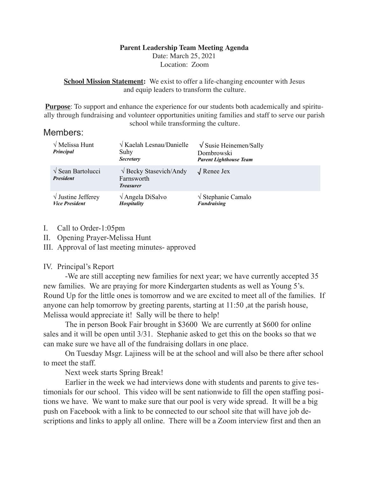### **Parent Leadership Team Meeting Agenda**

Date: March 25, 2021 Location: Zoom

**School Mission Statement:** We exist to offer a life-changing encounter with Jesus and equip leaders to transform the culture.

**Purpose**: To support and enhance the experience for our students both academically and spiritually through fundraising and volunteer opportunities uniting families and staff to serve our parish school while transforming the culture.

## Members:

| $\sqrt{\text{Melissa Hunt}}$<br>Principal           | $\sqrt{K$ aelah Lesnau/Danielle<br>Suhy<br><b>Secretary</b>            | $\sqrt{\text{S} }$ Susie Heinemen/Sally<br>Dombrowski<br><b>Parent Lighthouse Team</b> |
|-----------------------------------------------------|------------------------------------------------------------------------|----------------------------------------------------------------------------------------|
| $\sqrt{\text{Sean Bartolucci}}$<br><b>President</b> | $\sqrt{\text{Becky Stasevich/Andy}}$<br>Farnsworth<br><b>Treasurer</b> | $\sqrt{\text{Renee}}$ Jex                                                              |
| $\sqrt{}$ Justine Jefferey<br><b>Vice President</b> | $\sqrt{\text{Angle}}$ DiSalvo<br>Hospitality                           | $\sqrt{\text{Stephanic}}$ Camalo<br><b>Fundraising</b>                                 |

- I. Call to Order-1:05pm
- II. Opening Prayer-Melissa Hunt
- III. Approval of last meeting minutes- approved

## IV. Principal's Report

 -We are still accepting new families for next year; we have currently accepted 35 new families. We are praying for more Kindergarten students as well as Young 5's. Round Up for the little ones is tomorrow and we are excited to meet all of the families. If anyone can help tomorrow by greeting parents, starting at 11:50 ,at the parish house, Melissa would appreciate it! Sally will be there to help!

 The in person Book Fair brought in \$3600 We are currently at \$600 for online sales and it will be open until 3/31. Stephanie asked to get this on the books so that we can make sure we have all of the fundraising dollars in one place.

 On Tuesday Msgr. Lajiness will be at the school and will also be there after school to meet the staff.

Next week starts Spring Break!

 Earlier in the week we had interviews done with students and parents to give testimonials for our school. This video will be sent nationwide to fill the open staffing positions we have. We want to make sure that our pool is very wide spread. It will be a big push on Facebook with a link to be connected to our school site that will have job descriptions and links to apply all online. There will be a Zoom interview first and then an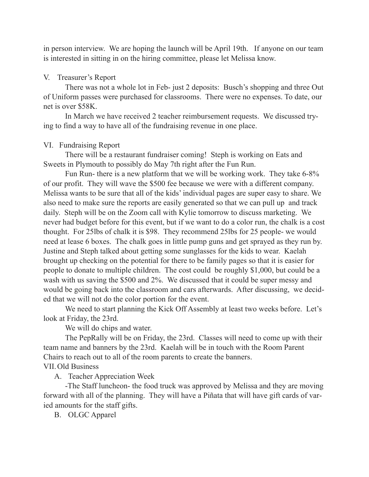in person interview. We are hoping the launch will be April 19th. If anyone on our team is interested in sitting in on the hiring committee, please let Melissa know.

#### V. Treasurer's Report

 There was not a whole lot in Feb- just 2 deposits: Busch's shopping and three Out of Uniform passes were purchased for classrooms. There were no expenses. To date, our net is over \$58K.

 In March we have received 2 teacher reimbursement requests. We discussed trying to find a way to have all of the fundraising revenue in one place.

#### VI. Fundraising Report

 There will be a restaurant fundraiser coming! Steph is working on Eats and Sweets in Plymouth to possibly do May 7th right after the Fun Run.

 Fun Run- there is a new platform that we will be working work. They take 6-8% of our profit. They will wave the \$500 fee because we were with a different company. Melissa wants to be sure that all of the kids' individual pages are super easy to share. We also need to make sure the reports are easily generated so that we can pull up and track daily. Steph will be on the Zoom call with Kylie tomorrow to discuss marketing. We never had budget before for this event, but if we want to do a color run, the chalk is a cost thought. For 25lbs of chalk it is \$98. They recommend 25lbs for 25 people- we would need at lease 6 boxes. The chalk goes in little pump guns and get sprayed as they run by. Justine and Steph talked about getting some sunglasses for the kids to wear. Kaelah brought up checking on the potential for there to be family pages so that it is easier for people to donate to multiple children. The cost could be roughly \$1,000, but could be a wash with us saving the \$500 and 2%. We discussed that it could be super messy and would be going back into the classroom and cars afterwards. After discussing, we decided that we will not do the color portion for the event.

 We need to start planning the Kick Off Assembly at least two weeks before. Let's look at Friday, the 23rd.

We will do chips and water.

 The PepRally will be on Friday, the 23rd. Classes will need to come up with their team name and banners by the 23rd. Kaelah will be in touch with the Room Parent Chairs to reach out to all of the room parents to create the banners.

# VII.Old Business

A. Teacher Appreciation Week

 -The Staff luncheon- the food truck was approved by Melissa and they are moving forward with all of the planning. They will have a Piñata that will have gift cards of varied amounts for the staff gifts.

B. OLGC Apparel